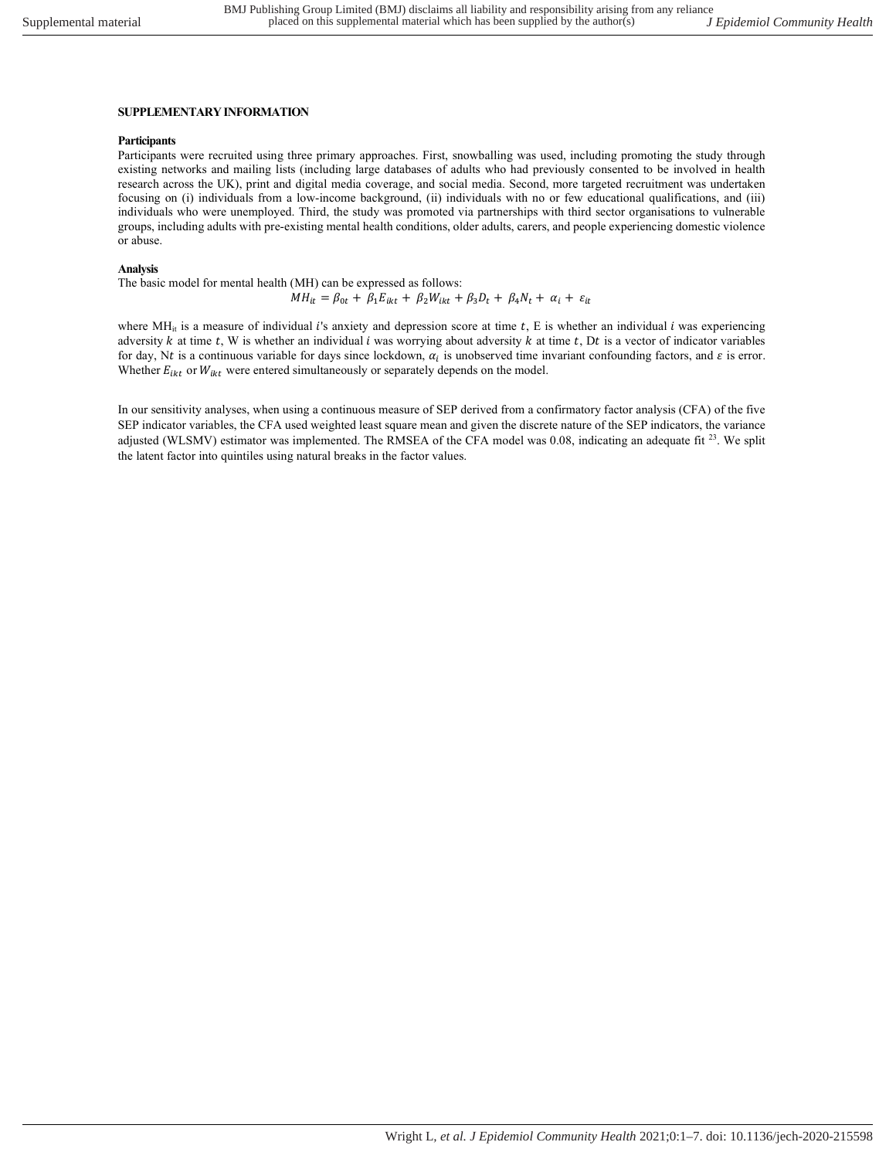## SUPPLEMENTARY INFORMATION

## **Participants**

Participants were recruited using three primary approaches. First, snowballing was used, including promoting the study through existing networks and mailing lists (including large databases of adults who had previously consented to be involved in health research across the UK), print and digital media coverage, and social media. Second, more targeted recruitment was undertaken focusing on (i) individuals from a low-income background, (ii) individuals with no or few educational qualifications, and (iii) individuals who were unemployed. Third, the study was promoted via partnerships with third sector organisations to vulnerable groups, including adults with pre-existing mental health conditions, older adults, carers, and people experiencing domestic violence or abuse.

## Analysis

The basic model for mental health (MH) can be expressed as follows:

$$
MH_{it} = \beta_{0t} + \beta_1 E_{ikt} + \beta_2 W_{ikt} + \beta_3 D_t + \beta_4 N_t + \alpha_i + \varepsilon_{it}
$$

where MH<sub>it</sub> is a measure of individual *i*'s anxiety and depression score at time  $t$ , E is whether an individual *i* was experiencing adversity  $k$  at time  $t$ , W is whether an individual  $i$  was worrying about adversity  $k$  at time  $t$ , Dt is a vector of indicator variables for day, Nt is a continuous variable for days since lockdown,  $\alpha_i$  is unobserved time invariant confounding factors, and  $\varepsilon$  is error. Whether  $E_{ikt}$  or  $W_{ikt}$  were entered simultaneously or separately depends on the model.

In our sensitivity analyses, when using a continuous measure of SEP derived from a confirmatory factor analysis (CFA) of the five SEP indicator variables, the CFA used weighted least square mean and given the discrete nature of the SEP indicators, the variance adjusted (WLSMV) estimator was implemented. The RMSEA of the CFA model was 0.08, indicating an adequate fit <sup>23</sup>. We split the latent factor into quintiles using natural breaks in the factor values.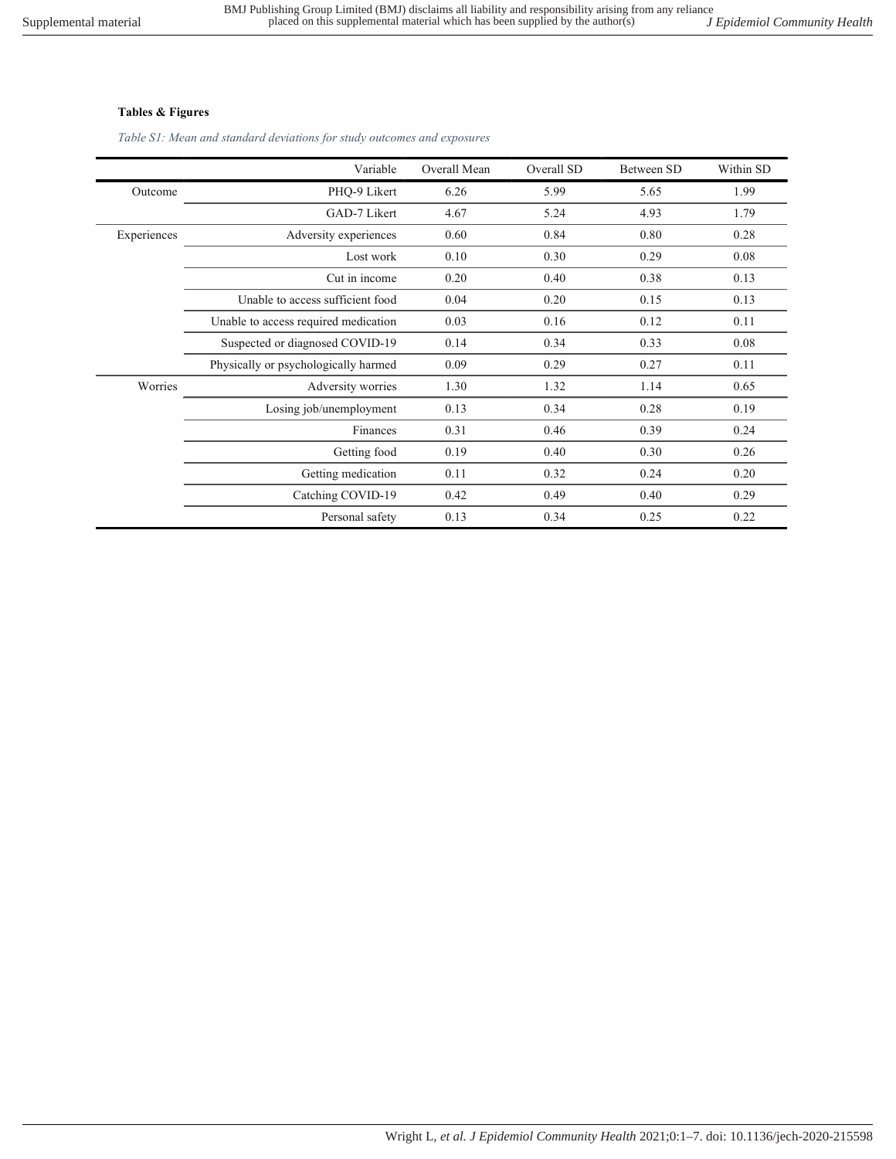## Tables & Figures

Table S1: Mean and standard deviations for study outcomes and exposures

|             | Variable                             | Overall Mean | Overall SD | Between SD | Within SD |
|-------------|--------------------------------------|--------------|------------|------------|-----------|
| Outcome     | PHQ-9 Likert                         | 6.26         | 5.99       | 5.65       | 1.99      |
|             | GAD-7 Likert                         | 4.67         | 5.24       | 4.93       | 1.79      |
| Experiences | Adversity experiences                | 0.60         | 0.84       | 0.80       | 0.28      |
|             | Lost work                            | 0.10         | 0.30       | 0.29       | 0.08      |
|             | Cut in income                        | 0.20         | 0.40       | 0.38       | 0.13      |
|             | Unable to access sufficient food     | 0.04         | 0.20       | 0.15       | 0.13      |
|             | Unable to access required medication | 0.03         | 0.16       | 0.12       | 0.11      |
|             | Suspected or diagnosed COVID-19      | 0.14         | 0.34       | 0.33       | 0.08      |
|             | Physically or psychologically harmed | 0.09         | 0.29       | 0.27       | 0.11      |
| Worries     | Adversity worries                    | 1.30         | 1.32       | 1.14       | 0.65      |
|             | Losing job/unemployment              | 0.13         | 0.34       | 0.28       | 0.19      |
|             | Finances                             | 0.31         | 0.46       | 0.39       | 0.24      |
|             | Getting food                         | 0.19         | 0.40       | 0.30       | 0.26      |
|             | Getting medication                   | 0.11         | 0.32       | 0.24       | 0.20      |
|             | Catching COVID-19                    | 0.42         | 0.49       | 0.40       | 0.29      |
|             | Personal safety                      | 0.13         | 0.34       | 0.25       | 0.22      |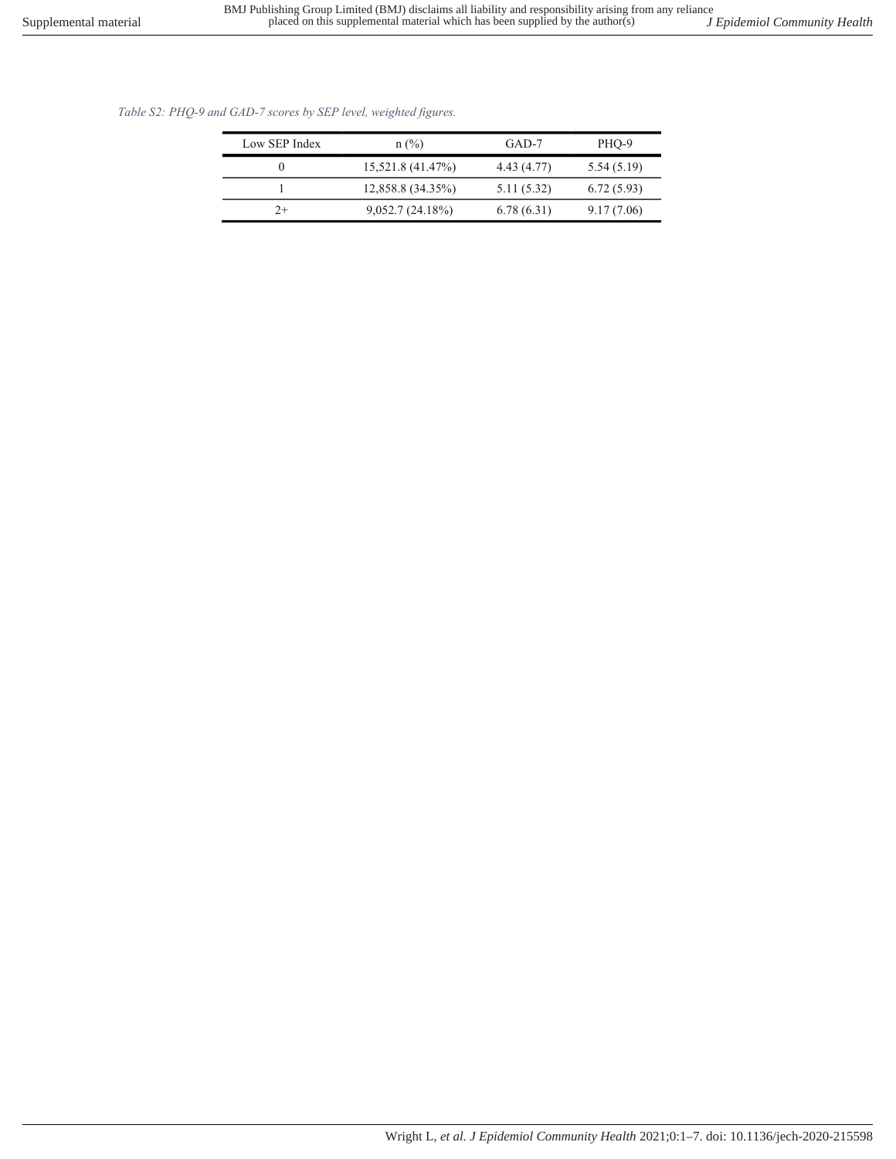Table S2: PHQ-9 and GAD-7 scores by SEP level, weighted figures.

| Low SEP Index | $n$ (%)           | GAD-7       | PHO-9      |
|---------------|-------------------|-------------|------------|
|               | 15,521.8 (41.47%) | 4.43 (4.77) | 5.54(5.19) |
|               | 12,858.8 (34.35%) | 5.11(5.32)  | 6.72(5.93) |
| 2+            | 9,052.7(24.18%)   | 6.78(6.31)  | 9.17(7.06) |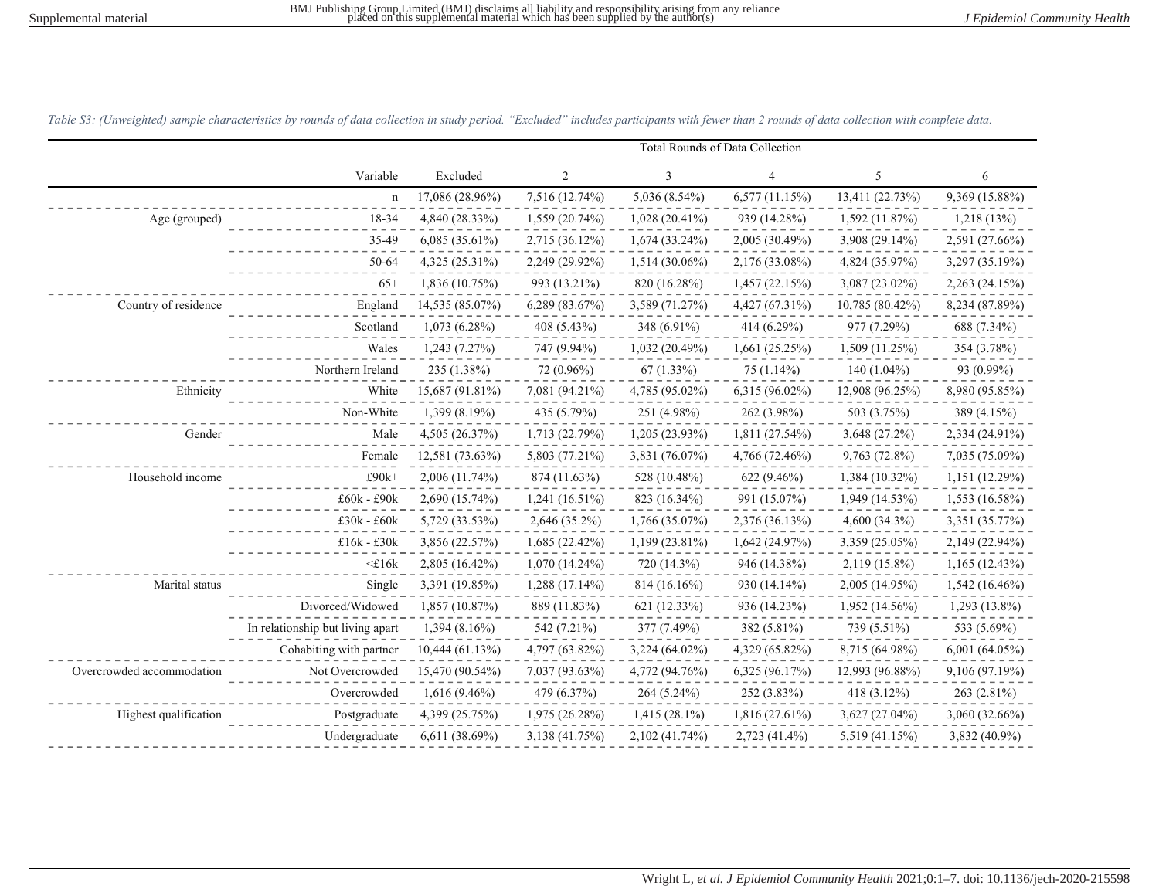|                           |                                  | Total Rounds of Data Collection |                     |                  |                  |                   |                  |
|---------------------------|----------------------------------|---------------------------------|---------------------|------------------|------------------|-------------------|------------------|
|                           | Variable                         | Excluded                        | $\overline{2}$      | 3                | 4                | 5                 | 6                |
|                           | $\mathbf n$                      | 17,086 (28.96%)                 | 7,516 (12.74%)      | 5,036 (8.54%)    | 6,577(11.15%)    | 13,411 (22.73%)   | 9,369 (15.88%)   |
| Age (grouped)             | 18-34                            | 4,840 (28.33%)                  | 1,559 (20.74%)      | $1,028(20.41\%)$ | 939 (14.28%)     | 1,592 (11.87%)    | 1,218(13%)       |
|                           | 35-49                            | $6,085(35.61\%)$                | 2,715 (36.12%)      | 1,674 (33.24%)   | $2,005(30.49\%)$ | 3,908 (29.14%)    | 2,591 (27.66%)   |
|                           | 50-64                            | 4,325 (25.31%)                  | 2,249 (29.92%)      | 1,514 (30.06%)   | 2,176 (33.08%)   | 4,824 (35.97%)    | 3,297 (35.19%)   |
|                           | $65+$                            | 1,836 (10.75%)                  | 993 (13.21%)        | 820 (16.28%)     | 1,457(22.15%)    | $3,087(23.02\%)$  | 2,263 (24.15%)   |
| Country of residence      | England                          | 14,535 (85.07%)                 | $6,289$ $(83.67\%)$ | 3,589 (71.27%)   | $4,427(67.31\%)$ | $10,785(80.42\%)$ | 8,234 (87.89%)   |
|                           | Scotland                         | $1,073(6.28\%)$                 | 408 (5.43%)         | 348 (6.91%)      | 414 (6.29%)      | 977 (7.29%)       | 688 (7.34%)      |
|                           | Wales                            | 1,243 (7.27%)                   | 747 (9.94%)         | 1,032 (20.49%)   | 1,661(25.25%)    | 1,509 (11.25%)    | 354 (3.78%)      |
|                           | Northern Ireland                 | 235 (1.38%)                     | 72 (0.96%)          | 67 (1.33%)       | 75 (1.14%)       | 140 $(1.04\%)$    | 93 (0.99%)       |
| Ethnicity                 | White                            | 15,687 (91.81%)                 | 7,081 (94.21%)      | 4,785 (95.02%)   | $6,315(96.02\%)$ | 12,908 (96.25%)   | 8,980 (95.85%)   |
|                           | Non-White                        | 1,399 (8.19%)                   | 435 (5.79%)         | 251 (4.98%)      | 262 (3.98%)      | 503 (3.75%)       | 389 (4.15%)      |
| Gender                    | Male                             | 4,505 (26.37%)                  | 1,713 (22.79%)      | 1,205 (23.93%)   | 1,811 (27.54%)   | 3,648 (27.2%)     | 2,334 (24.91%)   |
|                           | Female                           | 12,581 (73.63%)                 | 5,803 (77.21%)      | 3,831 (76.07%)   | 4,766 (72.46%)   | 9,763 (72.8%)     | 7,035 (75.09%)   |
| Household income          | $£90k+$                          | 2,006 (11.74%)                  | 874 (11.63%)        | 528 (10.48%)     | $622(9.46\%)$    | 1,384 (10.32%)    | 1,151 (12.29%)   |
|                           | £60k - £90k                      | 2,690 (15.74%)                  | $1,241(16.51\%)$    | 823 (16.34%)     | 991 (15.07%)     | 1,949 (14.53%)    | 1,553 (16.58%)   |
|                           | £30k - £60k                      | 5,729 (33.53%)                  | 2,646 (35.2%)       | 1,766 (35.07%)   | 2,376 (36.13%)   | 4,600 (34.3%)     | 3,351 (35.77%)   |
|                           | £16k - £30k                      | 3,856 (22.57%)                  | 1,685 (22.42%)      | 1,199 (23.81%)   | 1,642 (24.97%)   | 3,359 (25.05%)    | 2,149 (22.94%)   |
|                           | $<$ £16 $k$                      | 2,805 (16.42%)                  | $1,070(14.24\%)$    | 720 (14.3%)      | 946 (14.38%)     | 2,119 (15.8%)     | 1,165(12.43%)    |
| Marital status            | Single                           | 3,391 (19.85%)                  | 1,288 (17.14%)      | $814(16.16\%)$   | 930 (14.14%)     | $2,005(14.95\%)$  | $1,542(16.46\%)$ |
|                           | Divorced/Widowed                 | 1,857 (10.87%)                  | 889 (11.83%)        | 621 (12.33%)     | 936 (14.23%)     | $1,952(14.56\%)$  | $1,293(13.8\%)$  |
|                           | In relationship but living apart | $1,394(8.16\%)$                 | 542 (7.21%)         | 377 (7.49%)      | 382 (5.81%)      | 739 (5.51%)       | 533 (5.69%)      |
|                           | Cohabiting with partner          | 10,444(61.13%)                  | 4,797 (63.82%)      | 3,224 (64.02%)   | 4,329 (65.82%)   | 8,715 (64.98%)    | 6,001 (64.05%)   |
| Overcrowded accommodation | Not Overcrowded                  | 15,470 (90.54%)                 | 7,037 (93.63%)      | 4,772 (94.76%)   | 6,325(96.17%)    | 12,993 (96.88%)   | 9,106 (97.19%)   |
|                           | Overcrowded                      | 1,616 (9.46%)                   | 479 (6.37%)         | $264(5.24\%)$    | 252 (3.83%)      | 418 (3.12%)       | 263 (2.81%)      |
| Highest qualification     | Postgraduate                     | 4,399 (25.75%)                  | 1,975 (26.28%)      | 1,415 (28.1%)    | 1,816 (27.61%)   | $3,627(27.04\%)$  | 3,060 (32.66%)   |
|                           | Undergraduate                    | 6,611 (38.69%)                  | 3,138 (41.75%)      | 2,102 (41.74%)   | 2,723 (41.4%)    | 5,519 (41.15%)    | 3,832 (40.9%)    |

Table S3: (Unweighted) sample characteristics by rounds of data collection in study period. "Excluded" includes participants with fewer than 2 rounds of data collection with complete data.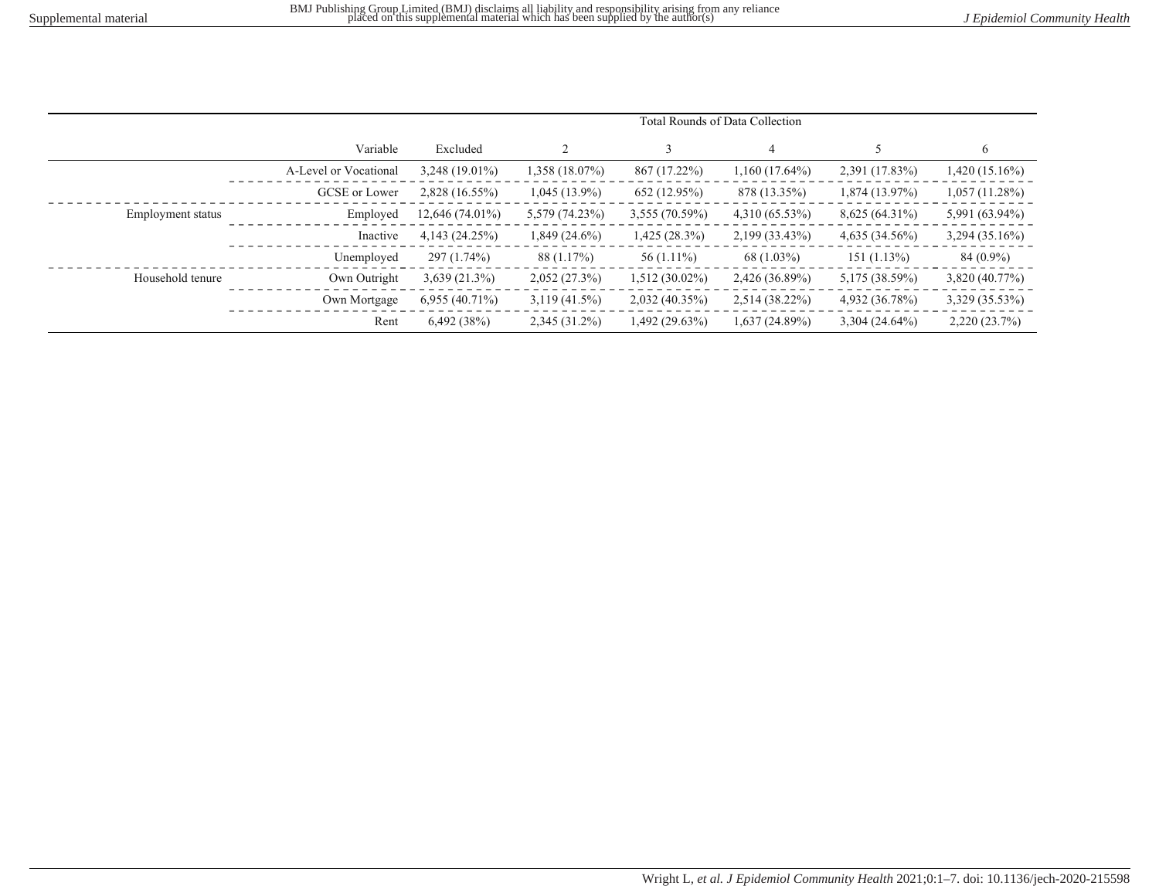|                   |                       | Total Rounds of Data Collection |                 |                |                  |                  |                 |
|-------------------|-----------------------|---------------------------------|-----------------|----------------|------------------|------------------|-----------------|
|                   | Variable              | Excluded                        |                 |                |                  |                  | 6               |
|                   | A-Level or Vocational | 3,248 (19.01%)                  | 1,358 (18.07%)  | 867 (17.22%)   | $1,160(17.64\%)$ | 2,391 (17.83%)   | 1,420 (15.16%)  |
|                   | GCSE or Lower         | 2,828 (16.55%)                  | $1,045(13.9\%)$ | 652 (12.95%)   | 878 (13.35%)     | $1,874(13.97\%)$ | 1,057(11.28%)   |
| Employment status | Employed              | 12,646 (74.01%)                 | 5,579 (74.23%)  | 3,555 (70.59%) | 4,310 (65.53%)   | 8,625 (64.31%)   | 5,991 (63.94%)  |
|                   | Inactive              | 4,143(24.25%)                   | $1,849(24.6\%)$ | 1,425 (28.3%)  | 2,199 (33.43%)   | 4,635(34.56%)    | 3,294 (35.16%)  |
|                   | Unemployed            | 297 (1.74%)                     | 88 (1.17%)      | $56(1.11\%)$   | $68(1.03\%)$     | $151(1.13\%)$    | 84 (0.9%)       |
| Household tenure  | Own Outright          | $3,639(21.3\%)$                 | 2,052(27.3%)    | 1,512 (30.02%) | 2,426 (36.89%)   | 5,175 (38.59%)   | 3,820 (40.77%)  |
|                   | Own Mortgage          | $6,955(40.71\%)$                | $3,119(41.5\%)$ | 2,032(40.35%)  | 2,514 (38.22%)   | 4,932 (36.78%)   | 3,329 (35.53%)  |
|                   | Rent                  | 6,492(38%)                      | $2,345(31.2\%)$ | 1,492 (29.63%) | 1,637 (24.89%)   | 3,304 (24.64%)   | $2,220(23.7\%)$ |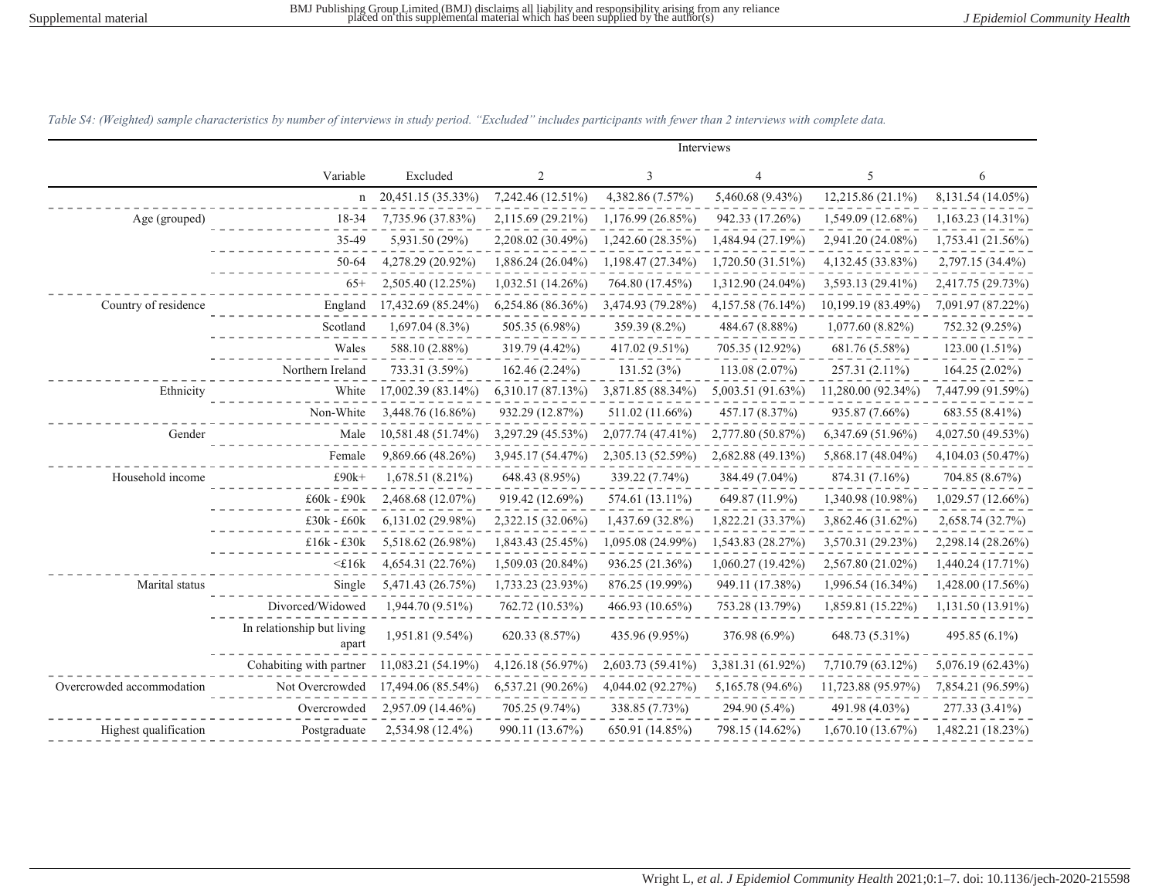Interviews

|                           | Variable                            | Excluded           | $\overline{2}$      | 3                 | 4                 | 5                  | 6                 |
|---------------------------|-------------------------------------|--------------------|---------------------|-------------------|-------------------|--------------------|-------------------|
|                           | $\mathbf n$                         | 20,451.15 (35.33%) | 7,242.46 (12.51%)   | 4,382.86 (7.57%)  | 5,460.68 (9.43%)  | 12,215.86 (21.1%)  | 8,131.54 (14.05%) |
| Age (grouped)             | 18-34                               | 7,735.96 (37.83%)  | 2,115.69 (29.21%)   | 1,176.99 (26.85%) | 942.33 (17.26%)   | 1,549.09 (12.68%)  | 1,163.23 (14.31%) |
|                           | 35-49                               | 5,931.50 (29%)     | 2,208.02 (30.49%)   | 1,242.60 (28.35%) | 1,484.94 (27.19%) | 2,941.20 (24.08%)  | 1,753.41 (21.56%) |
|                           | $50 - 64$                           | 4,278.29 (20.92%)  | $1,886.24(26.04\%)$ | 1,198.47 (27.34%) | 1,720.50 (31.51%) | 4,132.45 (33.83%)  | 2,797.15 (34.4%)  |
|                           | $65+$                               | 2,505.40 (12.25%)  | $1,032.51(14.26\%)$ | 764.80 (17.45%)   | 1,312.90 (24.04%) | 3,593.13 (29.41%)  | 2,417.75 (29.73%) |
| Country of residence      | England                             | 17,432.69 (85.24%) | $6,254.86(86.36\%)$ | 3,474.93 (79.28%) | 4,157.58 (76.14%) | 10,199.19 (83.49%) | 7,091.97 (87.22%) |
|                           | Scotland                            | 1,697.04 (8.3%)    | 505.35 (6.98%)      | 359.39 (8.2%)     | 484.67 (8.88%)    | $1,077.60(8.82\%)$ | 752.32 (9.25%)    |
|                           | Wales                               | 588.10 (2.88%)     | 319.79 (4.42%)      | 417.02 (9.51%)    | 705.35 (12.92%)   | 681.76 (5.58%)     | 123.00 (1.51%)    |
|                           | Northern Ireland                    | 733.31 (3.59%)     | 162.46 (2.24%)      | 131.52(3%)        | 113.08(2.07%)     | 257.31 (2.11%)     | 164.25 (2.02%)    |
| Ethnicity                 | White                               | 17,002.39 (83.14%) | 6,310.17 (87.13%)   | 3,871.85 (88.34%) | 5,003.51 (91.63%) | 11,280.00 (92.34%) | 7,447.99 (91.59%) |
|                           | Non-White                           | 3,448.76 (16.86%)  | 932.29 (12.87%)     | 511.02 (11.66%)   | 457.17 (8.37%)    | 935.87 (7.66%)     | 683.55 (8.41%)    |
| Gender                    | Male                                | 10,581.48 (51.74%) | 3,297.29 (45.53%)   | 2,077.74 (47.41%) | 2,777.80 (50.87%) | 6,347.69 (51.96%)  | 4,027.50 (49.53%) |
|                           | Female                              | 9,869.66 (48.26%)  | 3,945.17 (54.47%)   | 2,305.13 (52.59%) | 2,682.88 (49.13%) | 5,868.17 (48.04%)  | 4,104.03 (50.47%) |
| Household income          | $£90k+$                             | 1,678.51 (8.21%)   | 648.43 (8.95%)      | 339.22 (7.74%)    | 384.49 (7.04%)    | 874.31 (7.16%)     | 704.85 (8.67%)    |
|                           | $£60k - £90k$                       | 2,468.68 (12.07%)  | 919.42 (12.69%)     | 574.61 (13.11%)   | 649.87 (11.9%)    | 1,340.98 (10.98%)  | 1,029.57 (12.66%) |
|                           | $£30k - £60k$                       | 6,131.02(29.98%)   | 2,322.15 (32.06%)   | 1,437.69 (32.8%)  | 1,822.21 (33.37%) | 3,862.46 (31.62%)  | 2,658.74 (32.7%)  |
|                           | $£16k - £30k$                       | 5,518.62 (26.98%)  | 1,843.43 (25.45%)   | 1,095.08 (24.99%) | 1,543.83 (28.27%) | 3,570.31 (29.23%)  | 2,298.14 (28.26%) |
|                           | $<$ £16 $k$                         | 4,654.31 (22.76%)  | 1,509.03 (20.84%)   | 936.25 (21.36%)   | 1,060.27 (19.42%) | 2,567.80 (21.02%)  | 1,440.24 (17.71%) |
| Marital status            | Single                              | 5,471.43 (26.75%)  | 1,733.23 (23.93%)   | 876.25 (19.99%)   | 949.11 (17.38%)   | 1,996.54 (16.34%)  | 1,428.00 (17.56%) |
|                           | Divorced/Widowed                    | 1,944.70 (9.51%)   | 762.72 (10.53%)     | 466.93 (10.65%)   | 753.28 (13.79%)   | 1,859.81 (15.22%)  | 1,131.50 (13.91%) |
|                           | In relationship but living<br>apart | 1,951.81 (9.54%)   | 620.33 (8.57%)      | 435.96 (9.95%)    | 376.98 (6.9%)     | 648.73 (5.31%)     | 495.85 (6.1%)     |
|                           | Cohabiting with partner             | 11,083.21 (54.19%) | 4,126.18(56.97%)    | 2,603.73 (59.41%) | 3,381.31 (61.92%) | 7,710.79 (63.12%)  | 5,076.19 (62.43%) |
| Overcrowded accommodation | Not Overcrowded                     | 17,494.06 (85.54%) | 6,537.21 (90.26%)   | 4,044.02 (92.27%) | 5,165.78 (94.6%)  | 11,723.88 (95.97%) | 7,854.21 (96.59%) |
|                           | Overcrowded                         | 2,957.09 (14.46%)  | 705.25 (9.74%)      | 338.85 (7.73%)    | 294.90 (5.4%)     | 491.98 (4.03%)     | 277.33 (3.41%)    |
| Highest qualification     | Postgraduate                        | 2,534.98 (12.4%)   | 990.11 (13.67%)     | 650.91 (14.85%)   | 798.15 (14.62%)   | 1,670.10 (13.67%)  | 1,482.21 (18.23%) |

Table S4: (Weighted) sample characteristics by number of interviews in study period. "Excluded" includes participants with fewer than 2 interviews with complete data.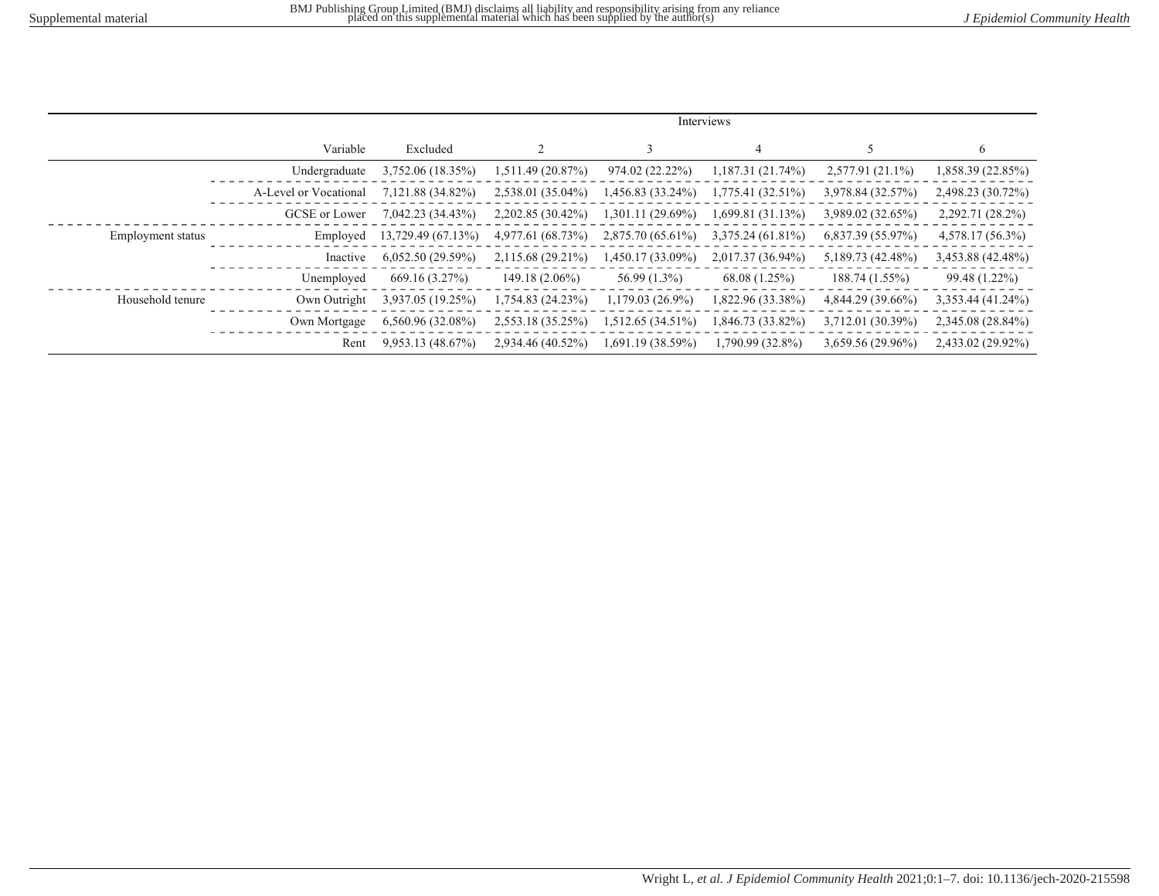|                   |                       | Interviews          |                   |                     |                     |                   |                   |
|-------------------|-----------------------|---------------------|-------------------|---------------------|---------------------|-------------------|-------------------|
|                   | Variable              | Excluded            |                   |                     | 4                   |                   | $\sigma$          |
|                   | Undergraduate         | 3,752.06 (18.35%)   | 1,511.49 (20.87%) | 974.02 (22.22%)     | 1,187.31 (21.74%)   | 2,577.91 (21.1%)  | 1,858.39 (22.85%) |
|                   | A-Level or Vocational | 7,121.88 (34.82%)   | 2,538.01 (35.04%) | 1,456.83 (33.24%)   | $1,775.41(32.51\%)$ | 3,978.84 (32.57%) | 2,498.23 (30.72%) |
|                   | GCSE or Lower         | 7,042.23 (34.43%)   | 2,202.85 (30.42%) | $1,301.11(29.69\%)$ | 1,699.81(31.13%)    | 3,989.02 (32.65%) | 2,292.71 (28.2%)  |
| Employment status | Employed              | 13,729.49 (67.13%)  | 4,977.61 (68.73%) | 2,875.70 (65.61%)   | $3,375.24(61.81\%)$ | 6,837.39 (55.97%) | 4,578.17 (56.3%)  |
|                   | Inactive              | 6,052.50(29.59%)    | 2,115.68 (29.21%) | 1,450.17 (33.09%)   | 2,017.37 (36.94%)   | 5,189.73 (42.48%) | 3,453.88 (42.48%) |
|                   | Unemployed            | 669.16 (3.27%)      | $149.18(2.06\%)$  | 56.99 (1.3%)        | 68.08 (1.25%)       | 188.74 (1.55%)    | 99.48 (1.22%)     |
| Household tenure  | Own Outright          | 3,937.05 (19.25%)   | 1,754.83 (24.23%) | 1,179.03 (26.9%)    | 1,822.96 (33.38%)   | 4,844.29 (39.66%) | 3,353.44 (41.24%) |
|                   | Own Mortgage          | $6,560.96(32.08\%)$ | 2,553.18 (35.25%) | 1,512.65 (34.51%)   | 1,846.73 (33.82%)   | 3,712.01 (30.39%) | 2,345.08 (28.84%) |
|                   | Rent                  | 9,953.13(48.67%)    | 2,934.46 (40.52%) | 1,691.19 (38.59%)   | 1,790.99 (32.8%)    | 3,659.56 (29.96%) | 2,433.02 (29.92%) |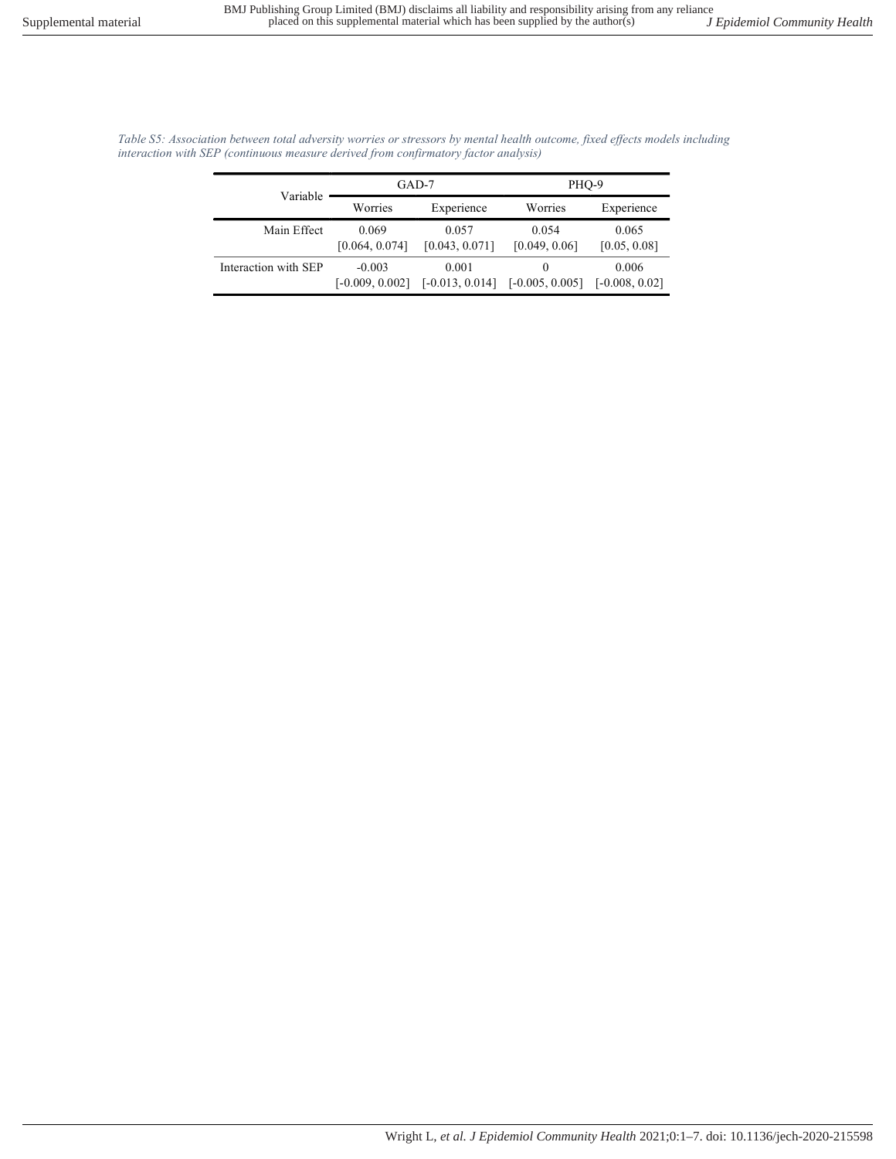| Variable             |                               | GAD-7                      | PHO-9                  |                           |  |
|----------------------|-------------------------------|----------------------------|------------------------|---------------------------|--|
|                      | Worries                       | Experience                 | Worries                | Experience                |  |
| Main Effect          | 0.069<br>[0.064, 0.074]       | 0.057<br>[0.043, 0.071]    | 0.054<br>[0.049, 0.06] | 0.065<br>[0.05, 0.08]     |  |
| Interaction with SEP | $-0.003$<br>$[-0.009, 0.002]$ | 0.001<br>$[-0.013, 0.014]$ | $[-0.005, 0.005]$      | 0.006<br>$[-0.008, 0.02]$ |  |

Table S5: Association between total adversity worries or stressors by mental health outcome, fixed effects models including interaction with SEP (continuous measure derived from confirmatory factor analysis)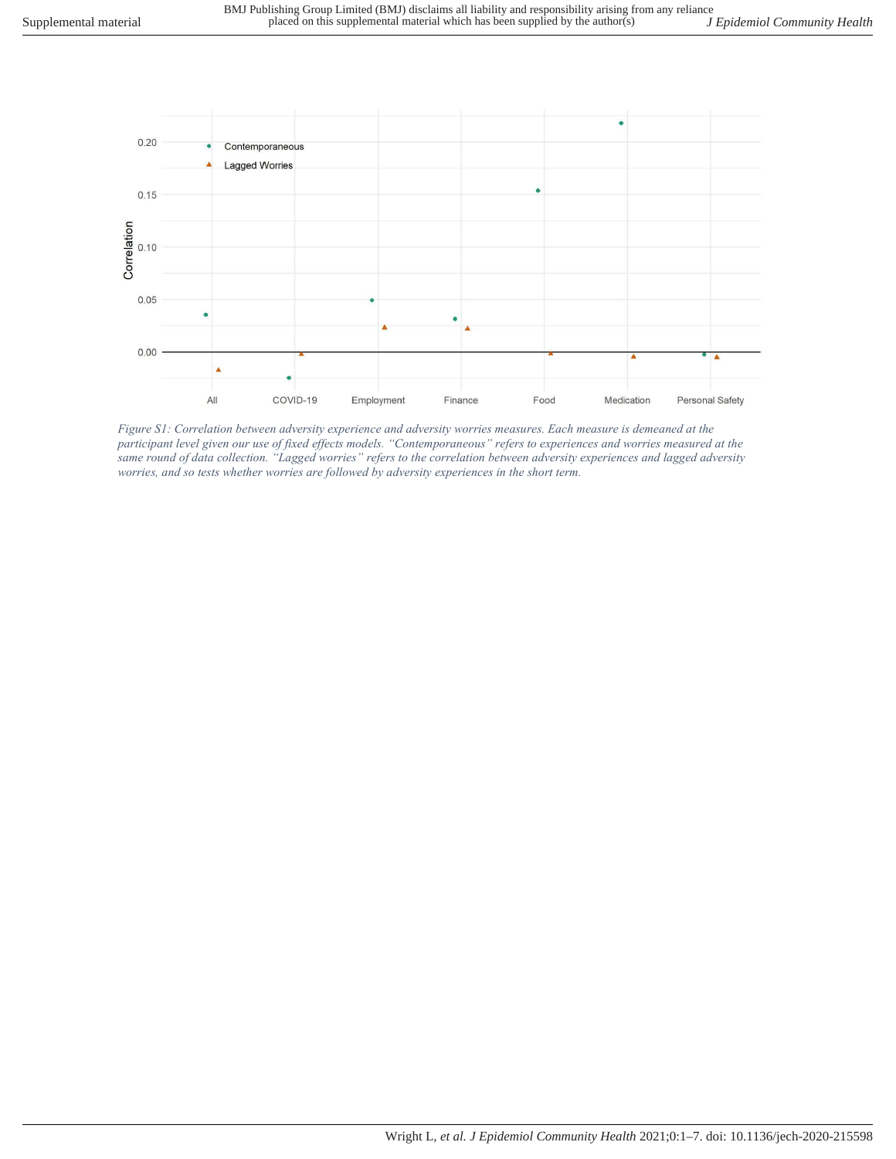

Figure S1: Correlation between adversity experience and adversity worries measures. Each measure is demeaned at the participant level given our use of fixed effects models. "Contemporaneous" refers to experiences and worries measured at the same round of data collection. "Lagged worries" refers to the correlation between adversity experiences and lagged adversity worries, and so tests whether worries are followed by adversity experiences in the short term.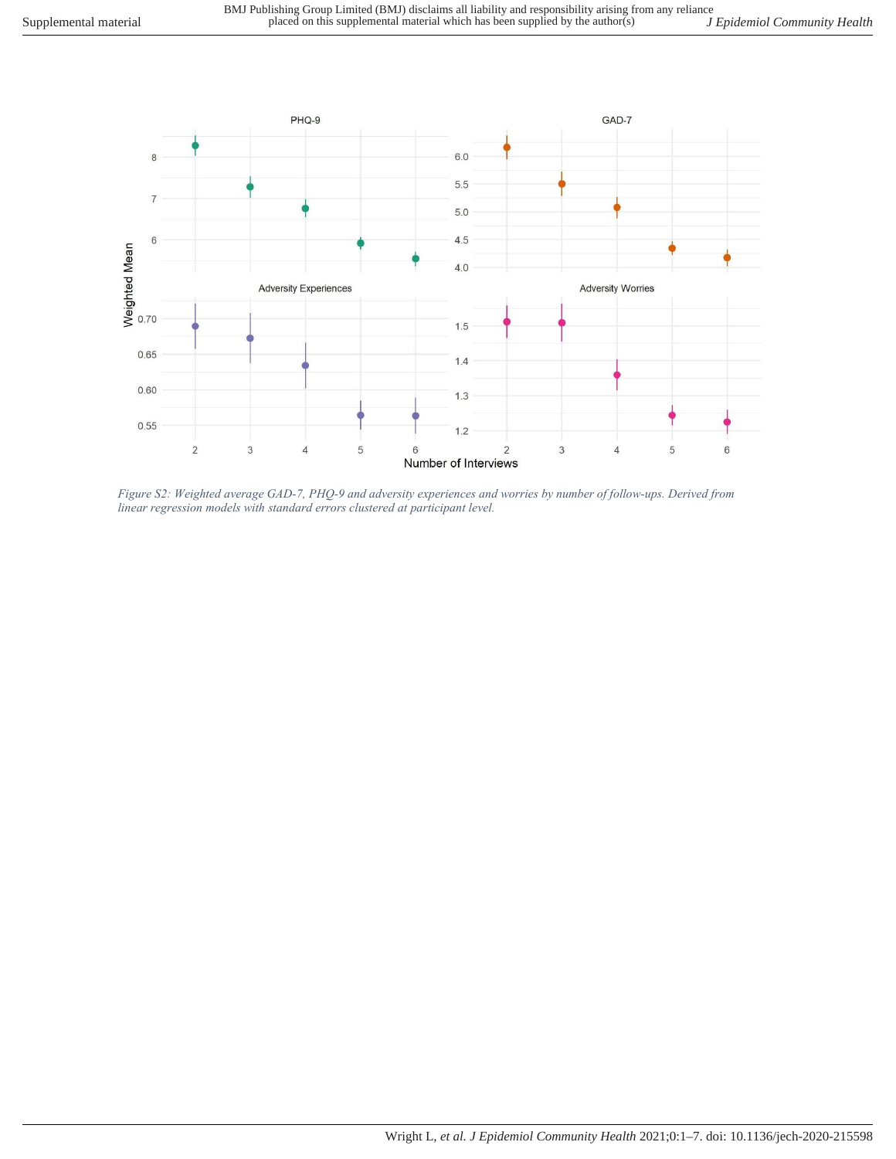

Figure S2: Weighted average GAD-7, PHQ-9 and adversity experiences and worries by number of follow-ups. Derived from linear regression models with standard errors clustered at participant level.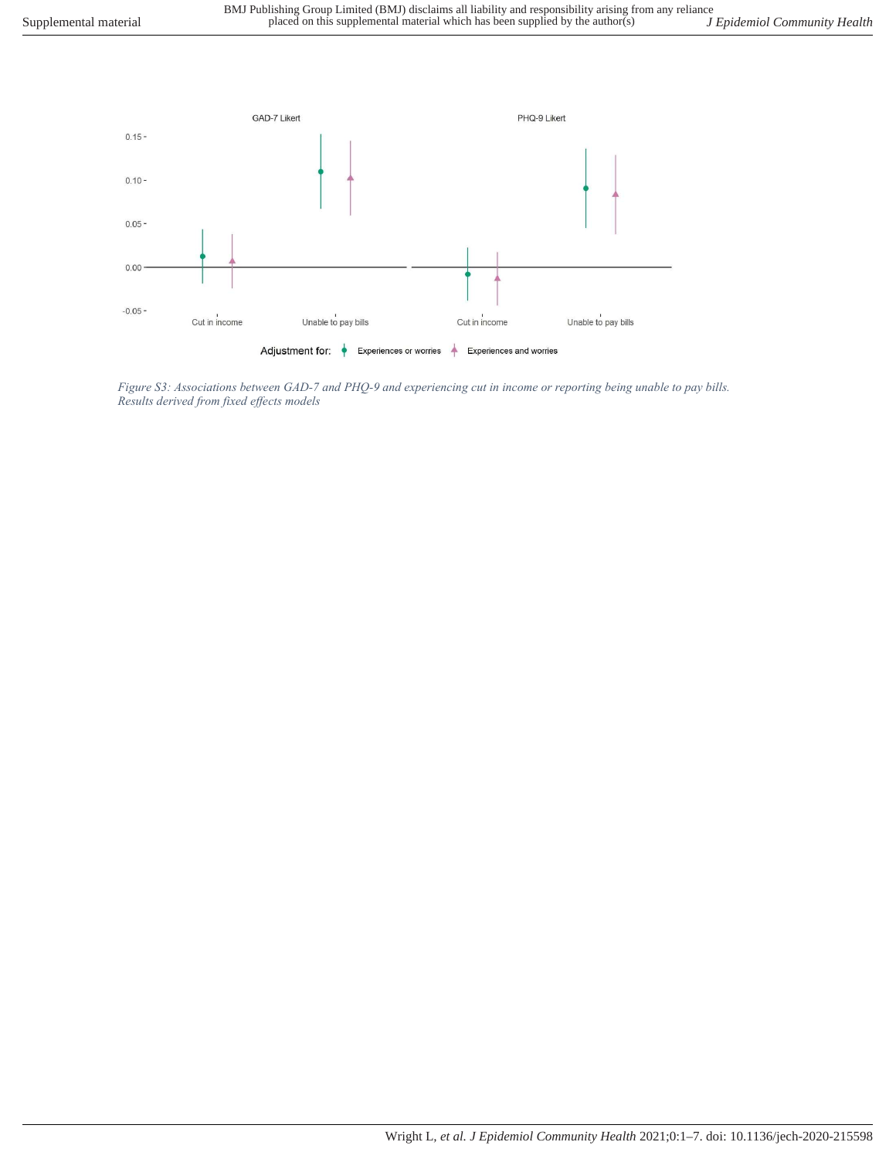

Figure S3: Associations between GAD-7 and PHQ-9 and experiencing cut in income or reporting being unable to pay bills. Results derived from fixed effects models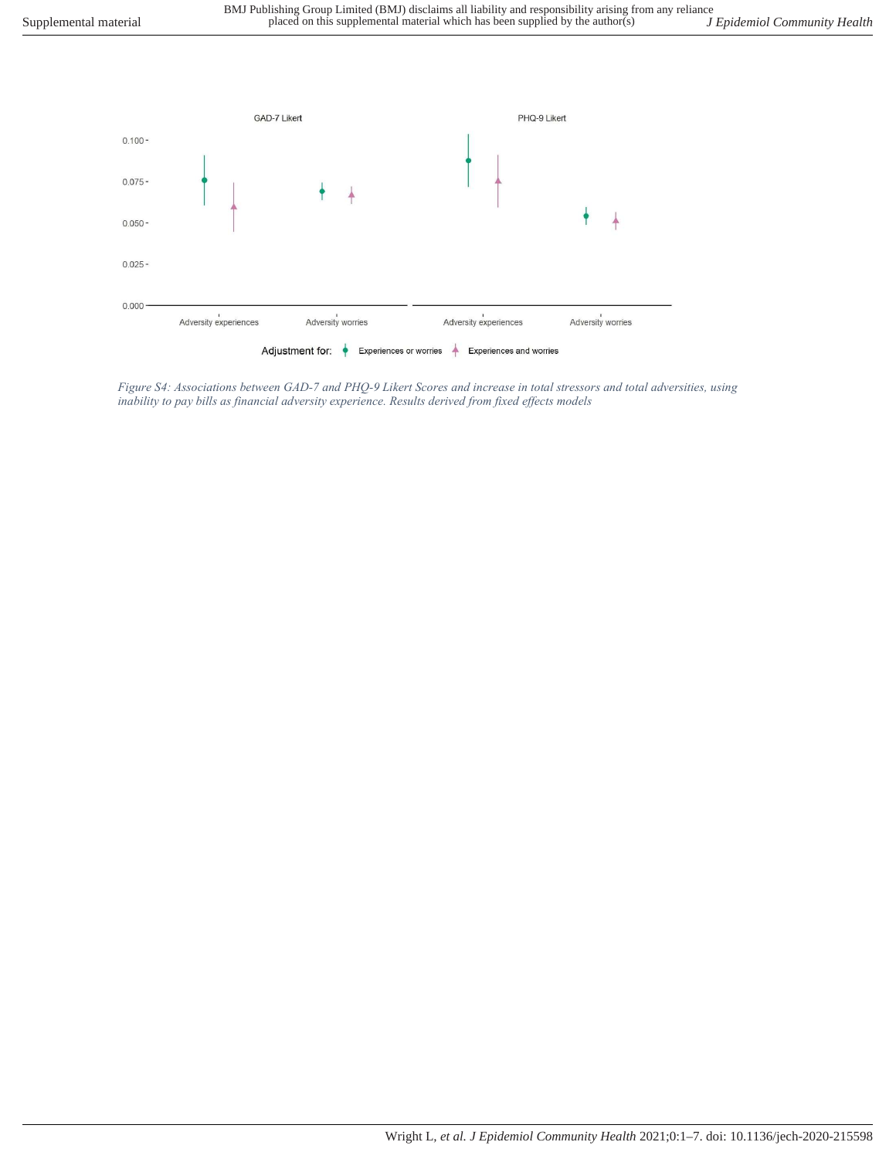

Figure S4: Associations between GAD-7 and PHQ-9 Likert Scores and increase in total stressors and total adversities, using inability to pay bills as financial adversity experience. Results derived from fixed effects models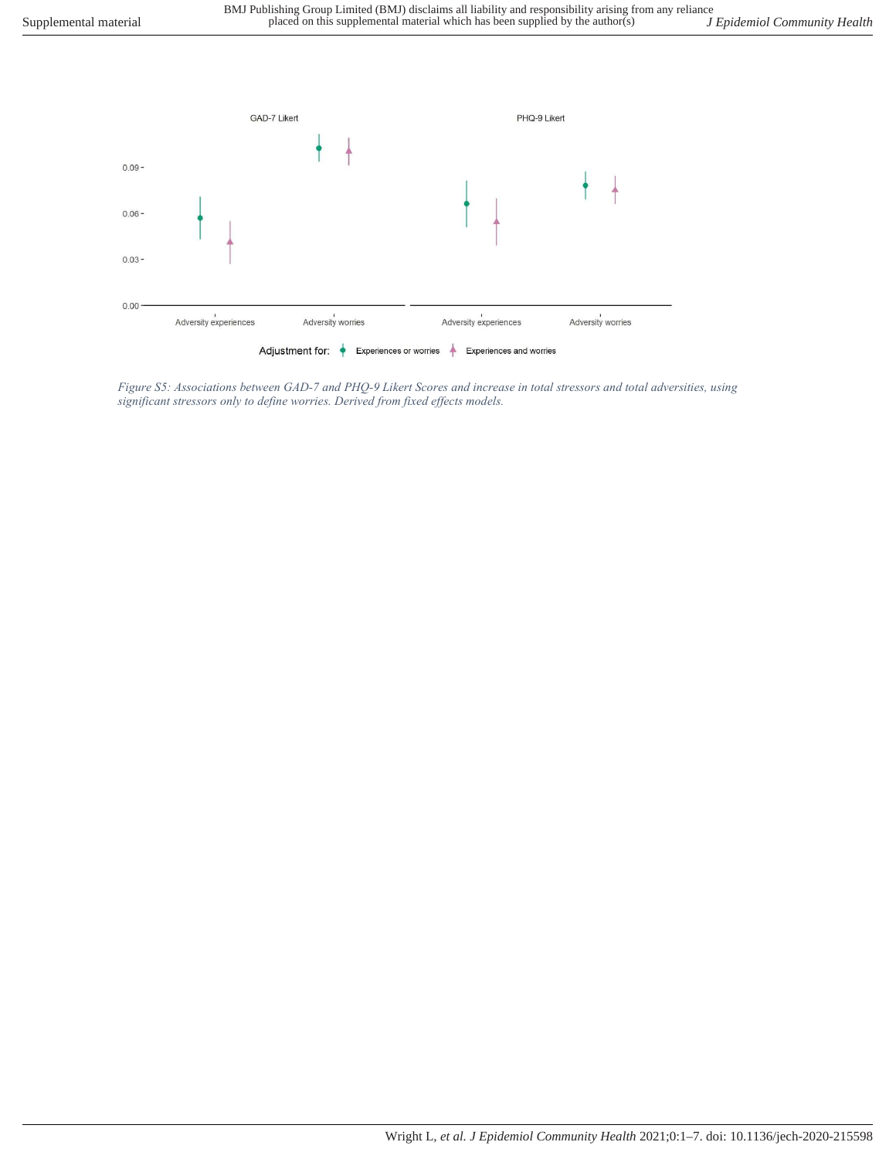

Figure S5: Associations between GAD-7 and PHQ-9 Likert Scores and increase in total stressors and total adversities, using significant stressors only to define worries. Derived from fixed effects models.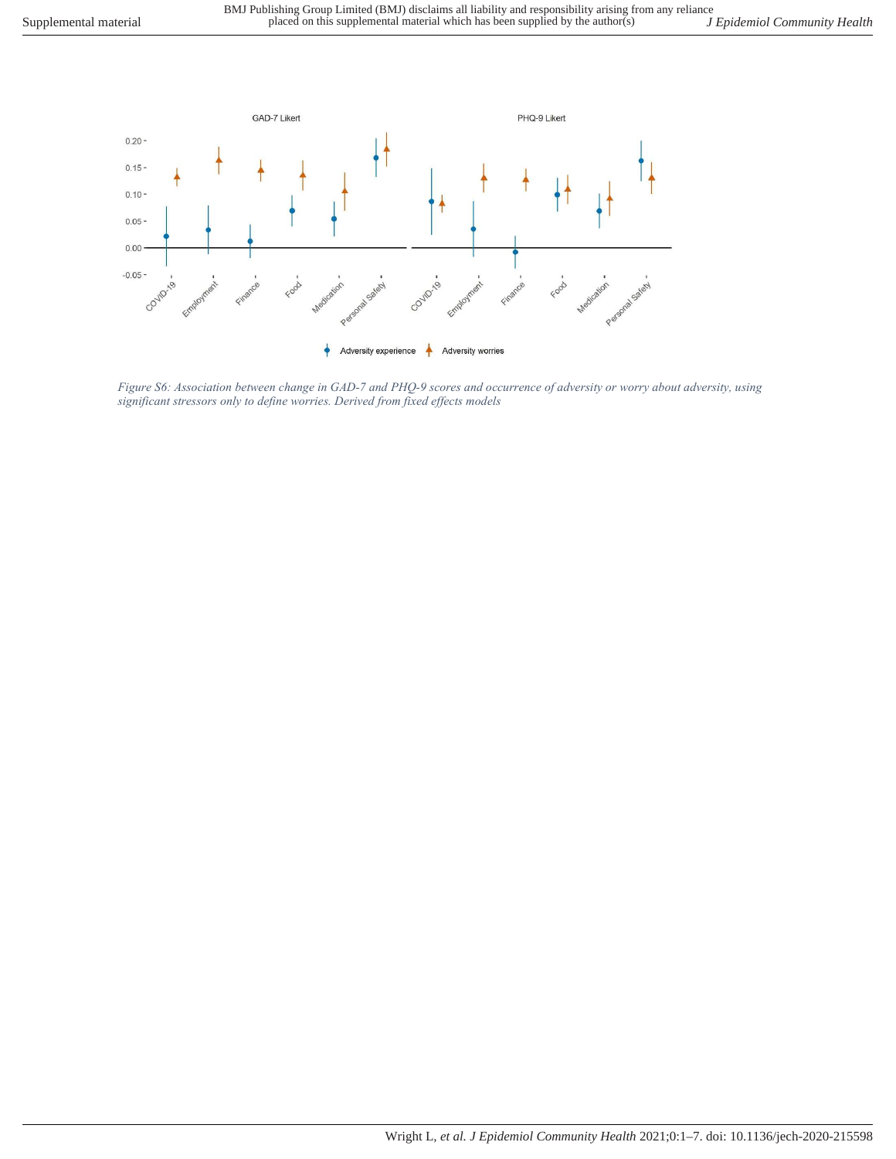

Figure S6: Association between change in GAD-7 and PHQ-9 scores and occurrence of adversity or worry about adversity, using significant stressors only to define worries. Derived from fixed effects models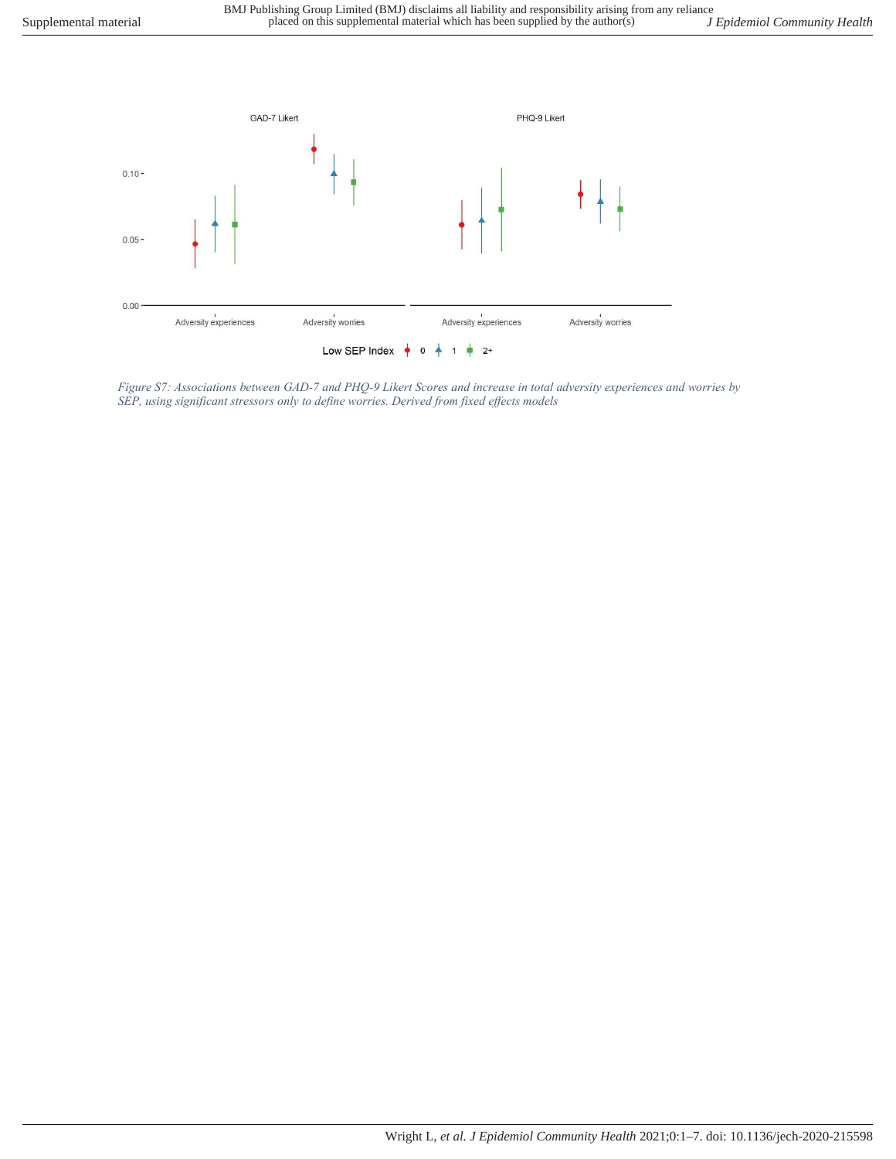

Figure S7: Associations between GAD-7 and PHQ-9 Likert Scores and increase in total adversity experiences and worries by SEP, using significant stressors only to define worries. Derived from fixed effects models